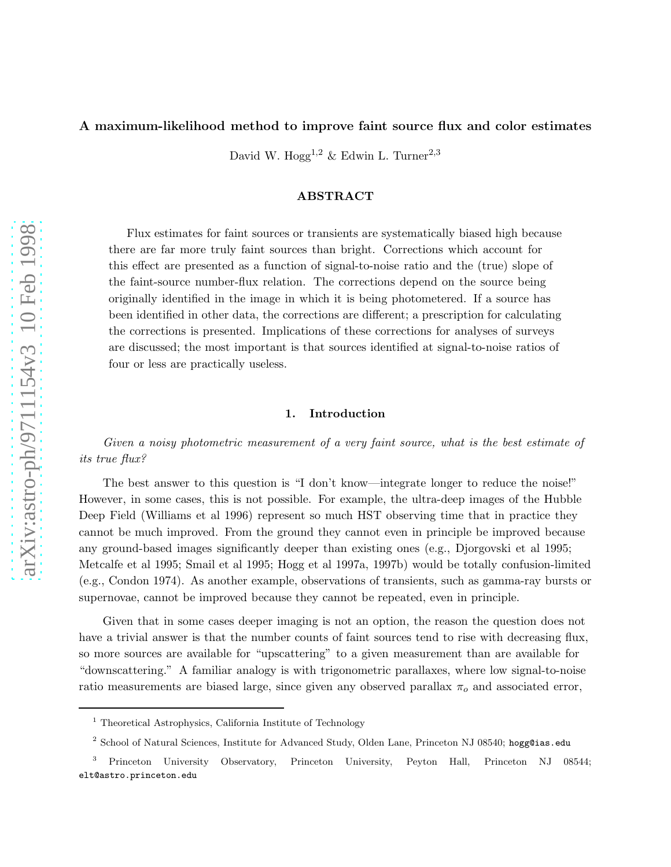## A maximum-likelihood method to improve faint source flux and color estimates

David W. Hogg<sup>1,2</sup> & Edwin L. Turner<sup>2,3</sup>

# ABSTRACT

Flux estimates for faint sources or transients are systematically biased high because there are far more truly faint sources than bright. Corrections which account for this effect are presented as a function of signal-to-noise ratio and the (true) slope of the faint-source number-flux relation. The corrections depend on the source being originally identified in the image in which it is being photometered. If a source has been identified in other data, the corrections are different; a prescription for calculating the corrections is presented. Implications of these corrections for analyses of surveys are discussed; the most important is that sources identified at signal-to-noise ratios of four or less are practically useless.

### 1. Introduction

Given a noisy photometric measurement of a very faint source, what is the best estimate of its true flux?

The best answer to this question is "I don't know—integrate longer to reduce the noise!" However, in some cases, this is not possible. For example, the ultra-deep images of the Hubble Deep Field (Williams et al 1996) represent so much HST observing time that in practice they cannot be much improved. From the ground they cannot even in principle be improved because any ground-based images significantly deeper than existing ones (e.g., Djorgovski et al 1995; Metcalfe et al 1995; Smail et al 1995; Hogg et al 1997a, 1997b) would be totally confusion-limited (e.g., Condon 1974). As another example, observations of transients, such as gamma-ray bursts or supernovae, cannot be improved because they cannot be repeated, even in principle.

Given that in some cases deeper imaging is not an option, the reason the question does not have a trivial answer is that the number counts of faint sources tend to rise with decreasing flux, so more sources are available for "upscattering" to a given measurement than are available for "downscattering." A familiar analogy is with trigonometric parallaxes, where low signal-to-noise ratio measurements are biased large, since given any observed parallax  $\pi_o$  and associated error,

<sup>&</sup>lt;sup>1</sup> Theoretical Astrophysics, California Institute of Technology

 $^2$  School of Natural Sciences, Institute for Advanced Study, Olden Lane, Princeton NJ 08540; hogg@ias.edu

<sup>3</sup> Princeton University Observatory, Princeton University, Peyton Hall, Princeton NJ 08544; elt@astro.princeton.edu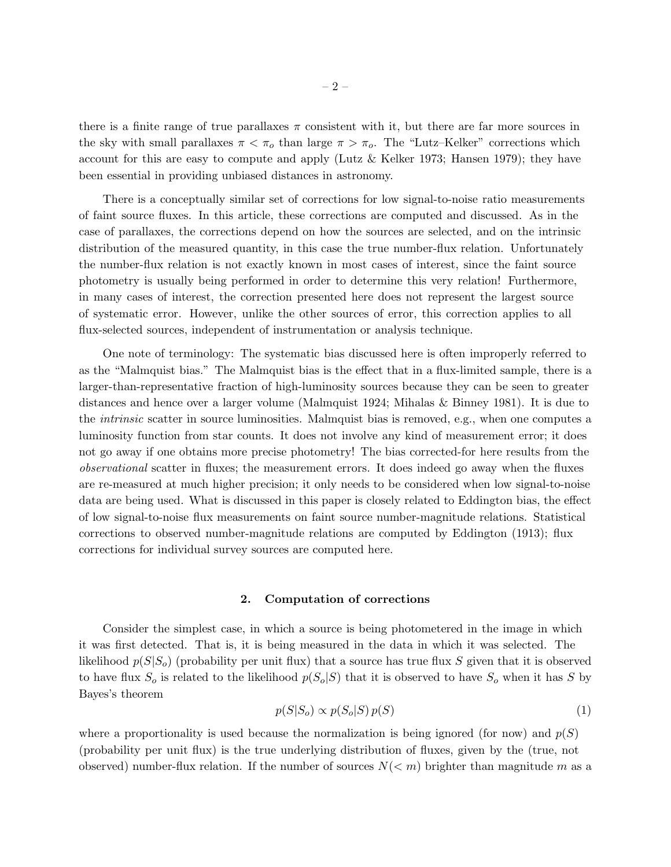there is a finite range of true parallaxes  $\pi$  consistent with it, but there are far more sources in the sky with small parallaxes  $\pi < \pi_o$  than large  $\pi > \pi_o$ . The "Lutz-Kelker" corrections which account for this are easy to compute and apply (Lutz  $&$  Kelker 1973; Hansen 1979); they have been essential in providing unbiased distances in astronomy.

There is a conceptually similar set of corrections for low signal-to-noise ratio measurements of faint source fluxes. In this article, these corrections are computed and discussed. As in the case of parallaxes, the corrections depend on how the sources are selected, and on the intrinsic distribution of the measured quantity, in this case the true number-flux relation. Unfortunately the number-flux relation is not exactly known in most cases of interest, since the faint source photometry is usually being performed in order to determine this very relation! Furthermore, in many cases of interest, the correction presented here does not represent the largest source of systematic error. However, unlike the other sources of error, this correction applies to all flux-selected sources, independent of instrumentation or analysis technique.

One note of terminology: The systematic bias discussed here is often improperly referred to as the "Malmquist bias." The Malmquist bias is the effect that in a flux-limited sample, there is a larger-than-representative fraction of high-luminosity sources because they can be seen to greater distances and hence over a larger volume (Malmquist 1924; Mihalas & Binney 1981). It is due to the intrinsic scatter in source luminosities. Malmquist bias is removed, e.g., when one computes a luminosity function from star counts. It does not involve any kind of measurement error; it does not go away if one obtains more precise photometry! The bias corrected-for here results from the observational scatter in fluxes; the measurement errors. It does indeed go away when the fluxes are re-measured at much higher precision; it only needs to be considered when low signal-to-noise data are being used. What is discussed in this paper is closely related to Eddington bias, the effect of low signal-to-noise flux measurements on faint source number-magnitude relations. Statistical corrections to observed number-magnitude relations are computed by Eddington (1913); flux corrections for individual survey sources are computed here.

#### 2. Computation of corrections

Consider the simplest case, in which a source is being photometered in the image in which it was first detected. That is, it is being measured in the data in which it was selected. The likelihood  $p(S|S<sub>o</sub>)$  (probability per unit flux) that a source has true flux S given that it is observed to have flux  $S_o$  is related to the likelihood  $p(S_o|S)$  that it is observed to have  $S_o$  when it has S by Bayes's theorem

$$
p(S|S_o) \propto p(S_o|S)p(S) \tag{1}
$$

where a proportionality is used because the normalization is being ignored (for now) and  $p(S)$ (probability per unit flux) is the true underlying distribution of fluxes, given by the (true, not observed) number-flux relation. If the number of sources  $N(< m)$  brighter than magnitude m as a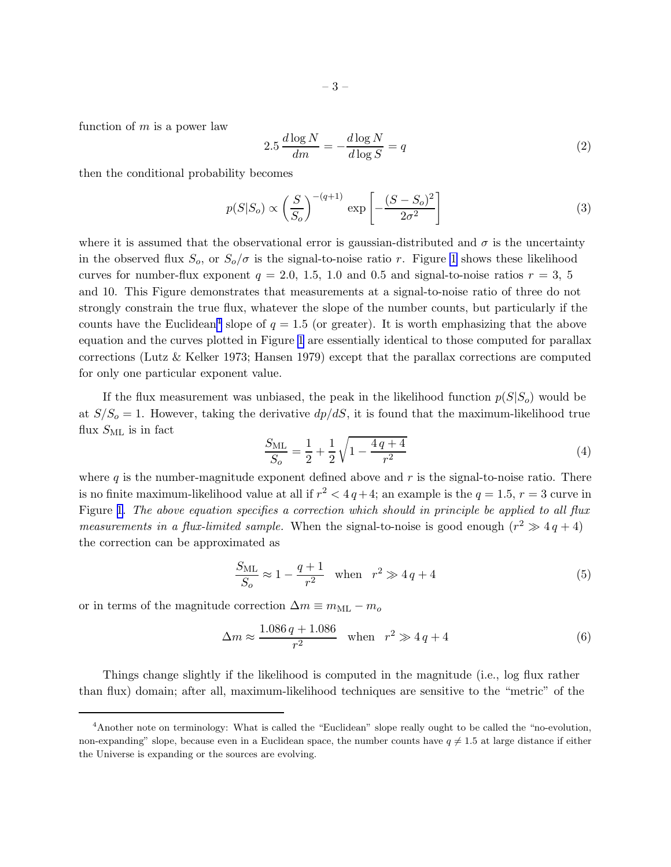<span id="page-2-0"></span>function of  $m$  is a power law

$$
2.5 \frac{d \log N}{dm} = -\frac{d \log N}{d \log S} = q \tag{2}
$$

then the conditional probability becomes

$$
p(S|S_o) \propto \left(\frac{S}{S_o}\right)^{-(q+1)} \exp\left[-\frac{(S-S_o)^2}{2\sigma^2}\right]
$$
 (3)

where it is assumed that the observational error is gaussian-distributed and  $\sigma$  is the uncertainty in the observed flux  $S_o$ , or  $S_o/\sigma$  is the signal-to-noise ratio r. Figure [1](#page-7-0) shows these likelihood curves for number-flux exponent  $q = 2.0, 1.5, 1.0$  and 0.5 and signal-to-noise ratios  $r = 3, 5$ and 10. This Figure demonstrates that measurements at a signal-to-noise ratio of three do not strongly constrain the true flux, whatever the slope of the number counts, but particularly if the counts have the Euclidean<sup>4</sup> slope of  $q = 1.5$  (or greater). It is worth emphasizing that the above equation and the curves plotted in Figure [1](#page-7-0) are essentially identical to those computed for parallax corrections (Lutz & Kelker 1973; Hansen 1979) except that the parallax corrections are computed for only one particular exponent value.

If the flux measurement was unbiased, the peak in the likelihood function  $p(S|S_o)$  would be at  $S/S<sub>o</sub> = 1$ . However, taking the derivative  $dp/dS$ , it is found that the maximum-likelihood true flux  $S_{ML}$  is in fact

$$
\frac{S_{\rm ML}}{S_o} = \frac{1}{2} + \frac{1}{2} \sqrt{1 - \frac{4q + 4}{r^2}}
$$
\n(4)

where  $q$  is the number-magnitude exponent defined above and  $r$  is the signal-to-noise ratio. There is no finite maximum-likelihood value at all if  $r^2 < 4q+4$ ; an example is the  $q = 1.5$ ,  $r = 3$  curve in Figure [1.](#page-7-0) The above equation specifies a correction which should in principle be applied to all flux *measurements in a flux-limited sample.* When the signal-to-noise is good enough  $(r^2 \gg 4q + 4)$ the correction can be approximated as

$$
\frac{S_{\rm ML}}{S_o} \approx 1 - \frac{q+1}{r^2} \quad \text{when} \quad r^2 \gg 4q+4 \tag{5}
$$

or in terms of the magnitude correction  $\Delta m \equiv m_{\rm ML} - m_o$ 

$$
\Delta m \approx \frac{1.086 q + 1.086}{r^2} \quad \text{when} \quad r^2 \gg 4 q + 4 \tag{6}
$$

Things change slightly if the likelihood is computed in the magnitude (i.e., log flux rather than flux) domain; after all, maximum-likelihood techniques are sensitive to the "metric" of the

<sup>4</sup>Another note on terminology: What is called the "Euclidean" slope really ought to be called the "no-evolution, non-expanding" slope, because even in a Euclidean space, the number counts have  $q \neq 1.5$  at large distance if either the Universe is expanding or the sources are evolving.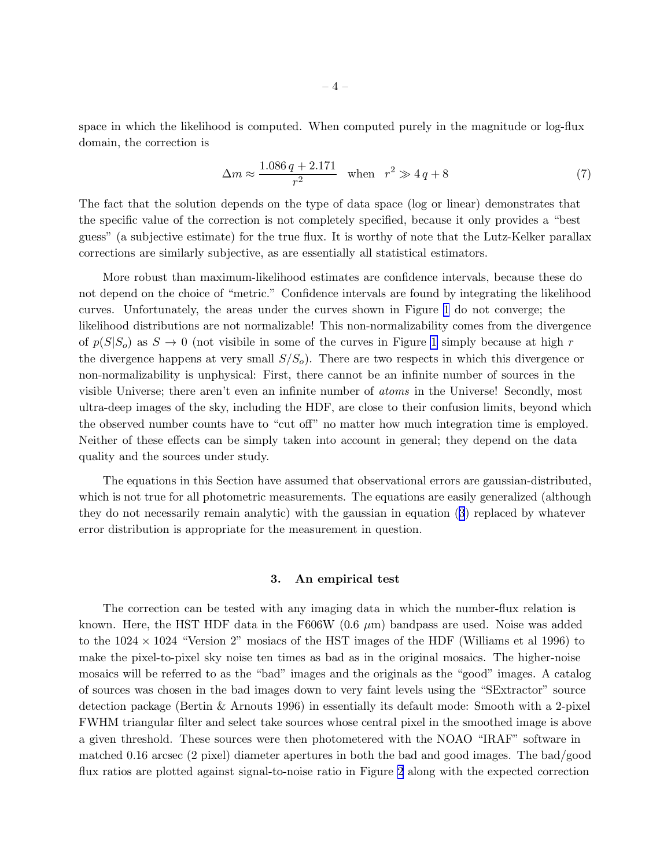space in which the likelihood is computed. When computed purely in the magnitude or log-flux domain, the correction is

$$
\Delta m \approx \frac{1.086 q + 2.171}{r^2} \quad \text{when} \quad r^2 \gg 4 q + 8 \tag{7}
$$

The fact that the solution depends on the type of data space (log or linear) demonstrates that the specific value of the correction is not completely specified, because it only provides a "best guess" (a subjective estimate) for the true flux. It is worthy of note that the Lutz-Kelker parallax corrections are similarly subjective, as are essentially all statistical estimators.

More robust than maximum-likelihood estimates are confidence intervals, because these do not depend on the choice of "metric." Confidence intervals are found by integrating the likelihood curves. Unfortunately, the areas under the curves shown in Figure [1](#page-7-0) do not converge; the likelihood distributions are not normalizable! This non-normalizability comes from the divergence of  $p(S|S<sub>o</sub>)$  as  $S \to 0$  (not visibile in some of the curves in Figure [1](#page-7-0) simply because at high r the divergence happens at very small  $S/S<sub>o</sub>$ ). There are two respects in which this divergence or non-normalizability is unphysical: First, there cannot be an infinite number of sources in the visible Universe; there aren't even an infinite number of *atoms* in the Universe! Secondly, most ultra-deep images of the sky, including the HDF, are close to their confusion limits, beyond which the observed number counts have to "cut off" no matter how much integration time is employed. Neither of these effects can be simply taken into account in general; they depend on the data quality and the sources under study.

The equations in this Section have assumed that observational errors are gaussian-distributed, which is not true for all photometric measurements. The equations are easily generalized (although they do not necessarily remain analytic) with the gaussian in equation [\(3](#page-2-0)) replaced by whatever error distribution is appropriate for the measurement in question.

### 3. An empirical test

The correction can be tested with any imaging data in which the number-flux relation is known. Here, the HST HDF data in the F606W (0.6  $\mu$ m) bandpass are used. Noise was added to the  $1024 \times 1024$  "Version 2" mosiacs of the HST images of the HDF (Williams et al 1996) to make the pixel-to-pixel sky noise ten times as bad as in the original mosaics. The higher-noise mosaics will be referred to as the "bad" images and the originals as the "good" images. A catalog of sources was chosen in the bad images down to very faint levels using the "SExtractor" source detection package (Bertin & Arnouts 1996) in essentially its default mode: Smooth with a 2-pixel FWHM triangular filter and select take sources whose central pixel in the smoothed image is above a given threshold. These sources were then photometered with the NOAO "IRAF" software in matched 0.16 arcsec (2 pixel) diameter apertures in both the bad and good images. The bad/good flux ratios are plotted against signal-to-noise ratio in Figure [2](#page-8-0) along with the expected correction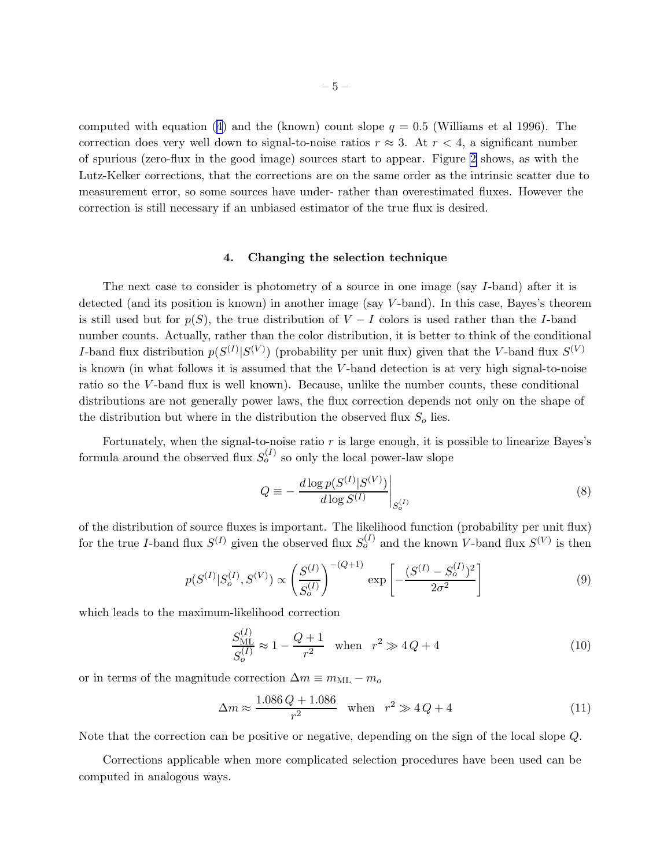computedwith equation ([4](#page-2-0)) and the (known) count slope  $q = 0.5$  (Williams et al 1996). The correction does very well down to signal-to-noise ratios  $r \approx 3$ . At  $r < 4$ , a significant number of spurious (zero-flux in the good image) sources start to appear. Figure [2](#page-8-0) shows, as with the Lutz-Kelker corrections, that the corrections are on the same order as the intrinsic scatter due to measurement error, so some sources have under- rather than overestimated fluxes. However the correction is still necessary if an unbiased estimator of the true flux is desired.

# 4. Changing the selection technique

The next case to consider is photometry of a source in one image (say I-band) after it is detected (and its position is known) in another image (say V -band). In this case, Bayes's theorem is still used but for  $p(S)$ , the true distribution of  $V - I$  colors is used rather than the I-band number counts. Actually, rather than the color distribution, it is better to think of the conditional I-band flux distribution  $p(S^{(I)}|S^{(V)})$  (probability per unit flux) given that the V-band flux  $S^{(V)}$ is known (in what follows it is assumed that the V -band detection is at very high signal-to-noise ratio so the V -band flux is well known). Because, unlike the number counts, these conditional distributions are not generally power laws, the flux correction depends not only on the shape of the distribution but where in the distribution the observed flux  $S<sub>o</sub>$  lies.

Fortunately, when the signal-to-noise ratio  $r$  is large enough, it is possible to linearize Bayes's formula around the observed flux  $S_o^{(I)}$  so only the local power-law slope

$$
Q \equiv -\frac{d \log p(S^{(I)}|S^{(V)})}{d \log S^{(I)}} \bigg|_{S_o^{(I)}} \tag{8}
$$

of the distribution of source fluxes is important. The likelihood function (probability per unit flux) for the true I-band flux  $S^{(I)}$  given the observed flux  $S^{(I)}_o$  and the known V-band flux  $S^{(V)}$  is then

$$
p(S^{(I)}|S_o^{(I)}, S^{(V)}) \propto \left(\frac{S^{(I)}}{S_o^{(I)}}\right)^{-(Q+1)} \exp\left[-\frac{(S^{(I)} - S_o^{(I)})^2}{2\sigma^2}\right]
$$
(9)

which leads to the maximum-likelihood correction

$$
\frac{S_{\text{ML}}^{(I)}}{S_o^{(I)}} \approx 1 - \frac{Q+1}{r^2} \quad \text{when} \quad r^2 \gg 4Q+4 \tag{10}
$$

or in terms of the magnitude correction  $\Delta m \equiv m_{\rm ML} - m_o$ 

$$
\Delta m \approx \frac{1.086 \, Q + 1.086}{r^2} \quad \text{when} \quad r^2 \gg 4 \, Q + 4 \tag{11}
$$

Note that the correction can be positive or negative, depending on the sign of the local slope Q.

Corrections applicable when more complicated selection procedures have been used can be computed in analogous ways.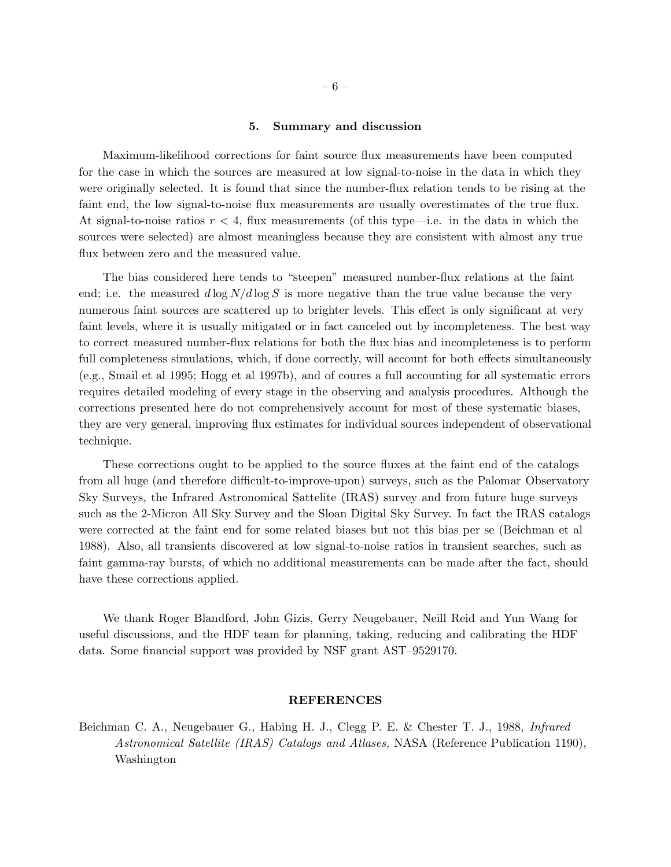#### 5. Summary and discussion

Maximum-likelihood corrections for faint source flux measurements have been computed for the case in which the sources are measured at low signal-to-noise in the data in which they were originally selected. It is found that since the number-flux relation tends to be rising at the faint end, the low signal-to-noise flux measurements are usually overestimates of the true flux. At signal-to-noise ratios  $r < 4$ , flux measurements (of this type—i.e. in the data in which the sources were selected) are almost meaningless because they are consistent with almost any true flux between zero and the measured value.

The bias considered here tends to "steepen" measured number-flux relations at the faint end; i.e. the measured  $d \log N/d \log S$  is more negative than the true value because the very numerous faint sources are scattered up to brighter levels. This effect is only significant at very faint levels, where it is usually mitigated or in fact canceled out by incompleteness. The best way to correct measured number-flux relations for both the flux bias and incompleteness is to perform full completeness simulations, which, if done correctly, will account for both effects simultaneously (e.g., Smail et al 1995; Hogg et al 1997b), and of coures a full accounting for all systematic errors requires detailed modeling of every stage in the observing and analysis procedures. Although the corrections presented here do not comprehensively account for most of these systematic biases, they are very general, improving flux estimates for individual sources independent of observational technique.

These corrections ought to be applied to the source fluxes at the faint end of the catalogs from all huge (and therefore difficult-to-improve-upon) surveys, such as the Palomar Observatory Sky Surveys, the Infrared Astronomical Sattelite (IRAS) survey and from future huge surveys such as the 2-Micron All Sky Survey and the Sloan Digital Sky Survey. In fact the IRAS catalogs were corrected at the faint end for some related biases but not this bias per se (Beichman et al 1988). Also, all transients discovered at low signal-to-noise ratios in transient searches, such as faint gamma-ray bursts, of which no additional measurements can be made after the fact, should have these corrections applied.

We thank Roger Blandford, John Gizis, Gerry Neugebauer, Neill Reid and Yun Wang for useful discussions, and the HDF team for planning, taking, reducing and calibrating the HDF data. Some financial support was provided by NSF grant AST–9529170.

### REFERENCES

Beichman C. A., Neugebauer G., Habing H. J., Clegg P. E. & Chester T. J., 1988, Infrared Astronomical Satellite (IRAS) Catalogs and Atlases, NASA (Reference Publication 1190), Washington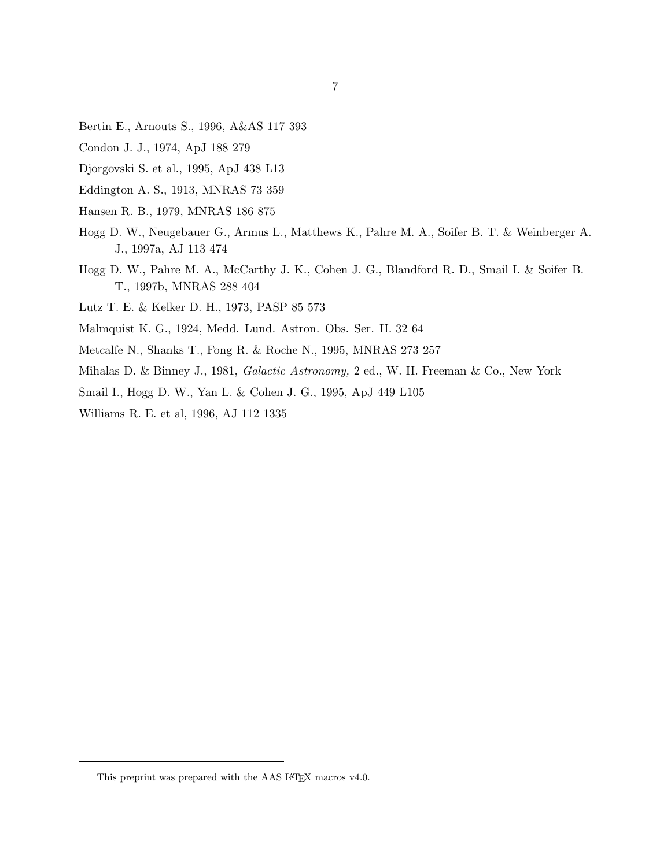- Bertin E., Arnouts S., 1996, A&AS 117 393
- Condon J. J., 1974, ApJ 188 279
- Djorgovski S. et al., 1995, ApJ 438 L13
- Eddington A. S., 1913, MNRAS 73 359
- Hansen R. B., 1979, MNRAS 186 875
- Hogg D. W., Neugebauer G., Armus L., Matthews K., Pahre M. A., Soifer B. T. & Weinberger A. J., 1997a, AJ 113 474
- Hogg D. W., Pahre M. A., McCarthy J. K., Cohen J. G., Blandford R. D., Smail I. & Soifer B. T., 1997b, MNRAS 288 404
- Lutz T. E. & Kelker D. H., 1973, PASP 85 573
- Malmquist K. G., 1924, Medd. Lund. Astron. Obs. Ser. II. 32 64
- Metcalfe N., Shanks T., Fong R. & Roche N., 1995, MNRAS 273 257
- Mihalas D. & Binney J., 1981, Galactic Astronomy, 2 ed., W. H. Freeman & Co., New York
- Smail I., Hogg D. W., Yan L. & Cohen J. G., 1995, ApJ 449 L105
- Williams R. E. et al, 1996, AJ 112 1335

This preprint was prepared with the AAS IATEX macros  $\rm v4.0.$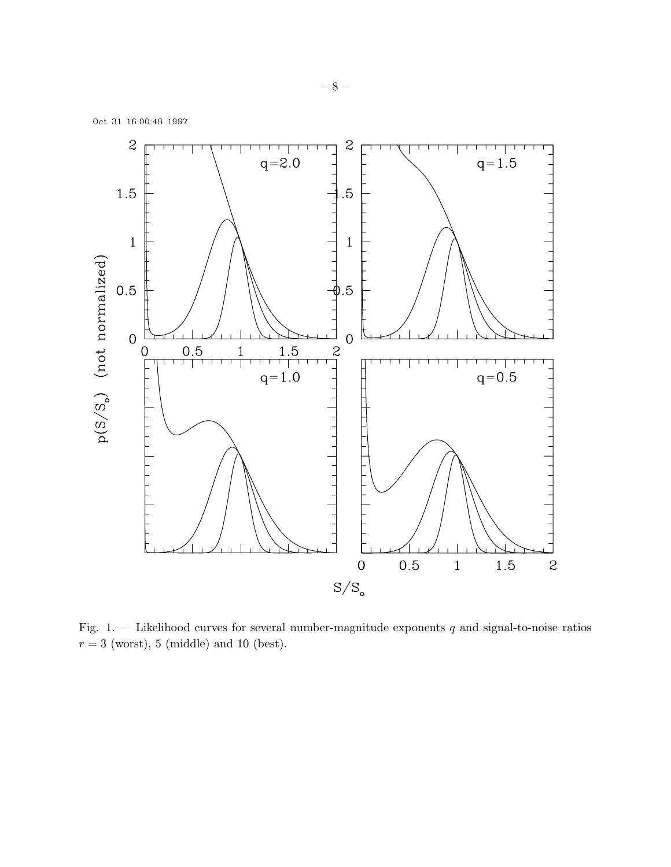<span id="page-7-0"></span>

Fig. 1.— Likelihood curves for several number-magnitude exponents  $q$  and signal-to-noise ratios  $r = 3$  (worst), 5 (middle) and 10 (best).